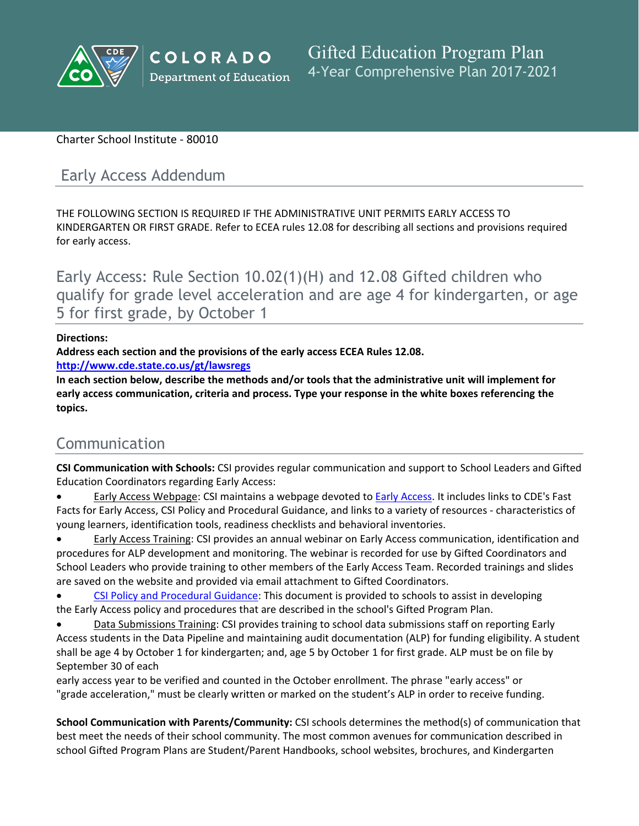

## Charter School Institute - 80010

## Early Access Addendum

THE FOLLOWING SECTION IS REQUIRED IF THE ADMINISTRATIVE UNIT PERMITS EARLY ACCESS TO KINDERGARTEN OR FIRST GRADE. Refer to ECEA rules 12.08 for describing all sections and provisions required for early access.

Early Access: Rule Section 10.02(1)(H) and 12.08 Gifted children who qualify for grade level acceleration and are age 4 for kindergarten, or age 5 for first grade, by October 1

### **Directions:**

**Address each section and the provisions of the early access ECEA Rules 12.08.**

**<http://www.cde.state.co.us/gt/lawsregs>**

**In each section below, describe the methods and/or tools that the administrative unit will implement for early access communication, criteria and process. Type your response in the white boxes referencing the topics.**

# Communication

**CSI Communication with Schools:** CSI provides regular communication and support to School Leaders and Gifted Education Coordinators regarding Early Access:

 Early Access Webpage: CSI maintains a webpage devoted to [Early]() [Access.]() It includes links to CDE's Fast Facts for Early Access, CSI Policy and Procedural Guidance, and links to a variety of resources - characteristics of young learners, identification tools, readiness checklists and behavioral inventories.

 Early Access Training: CSI provides an annual webinar on Early Access communication, identification and procedures for ALP development and monitoring. The webinar is recorded for use by Gifted Coordinators and School Leaders who provide training to other members of the Early Access Team. Recorded trainings and slides are saved on the website and provided via email attachment to Gifted Coordinators.

 [CSI]() [Policy]() [and]() [Procedural]() [Guidance](): This document is provided to schools to assist in developing the Early Access policy and procedures that are described in the school's Gifted Program Plan.

 Data Submissions Training: CSI provides training to school data submissions staff on reporting Early Access students in the Data Pipeline and maintaining audit documentation (ALP) for funding eligibility. A student shall be age 4 by October 1 for kindergarten; and, age 5 by October 1 for first grade. ALP must be on file by September 30 of each

early access year to be verified and counted in the October enrollment. The phrase "early access" or "grade acceleration," must be clearly written or marked on the student's ALP in order to receive funding.

**School Communication with Parents/Community:** CSI schools determines the method(s) of communication that best meet the needs of their school community. The most common avenues for communication described in school Gifted Program Plans are Student/Parent Handbooks, school websites, brochures, and Kindergarten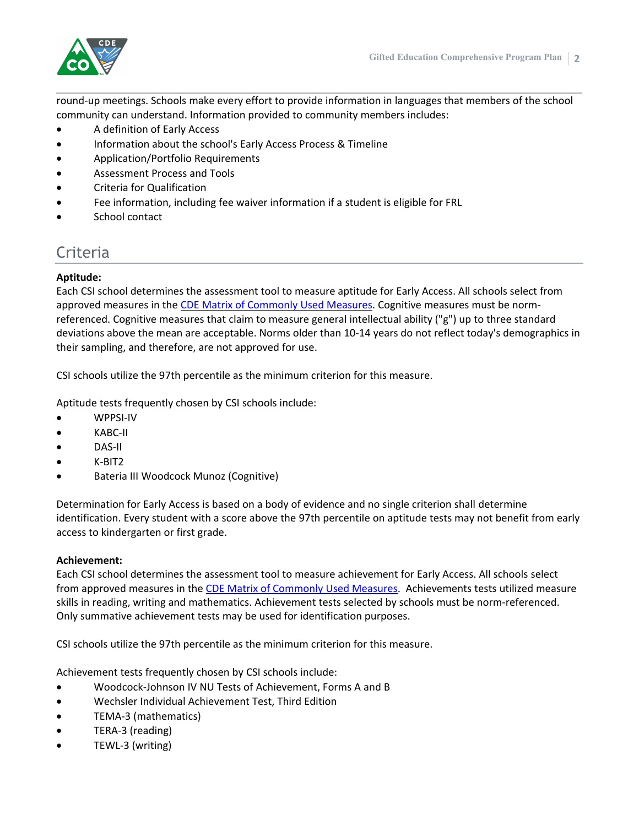

round-up meetings. Schools make every effort to provide information in languages that members of the school community can understand. Information provided to community members includes:

- A definition of Early Access
- Information about the school's Early Access Process & Timeline
- Application/Portfolio Requirements
- Assessment Process and Tools
- Criteria for Qualification
- Fee information, including fee waiver information if a student is eligible for FRL
- School contact

## Criteria

#### **Aptitude:**

Each CSI school determines the assessment tool to measure aptitude for Early Access. All schools select from approved measures in the [CDE]() [Matrix]() [of]() [Commonly]() [Used]() [Measures.]() Cognitive measures must be normreferenced. Cognitive measures that claim to measure general intellectual ability ("g") up to three standard deviations above the mean are acceptable. Norms older than 10-14 years do not reflect today's demographics in their sampling, and therefore, are not approved for use.

CSI schools utilize the 97th percentile as the minimum criterion for this measure.

Aptitude tests frequently chosen by CSI schools include:

- WPPSI-IV
- KABC-II
- DAS-II
- K-BIT2
- Bateria III Woodcock Munoz (Cognitive)

Determination for Early Access is based on a body of evidence and no single criterion shall determine identification. Every student with a score above the 97th percentile on aptitude tests may not benefit from early access to kindergarten or first grade.

#### **Achievement:**

Each CSI school determines the assessment tool to measure achievement for Early Access. All schools select from approved measures in the [CDE]() [Matrix]() [of]() [Commonly]() [Used]() [Measures](). Achievements tests utilized measure skills in reading, writing and mathematics. Achievement tests selected by schools must be norm-referenced. Only summative achievement tests may be used for identification purposes.

CSI schools utilize the 97th percentile as the minimum criterion for this measure.

Achievement tests frequently chosen by CSI schools include:

- Woodcock-Johnson IV NU Tests of Achievement, Forms A and B
- Wechsler Individual Achievement Test, Third Edition
- TEMA-3 (mathematics)
- TERA-3 (reading)
- TEWL-3 (writing)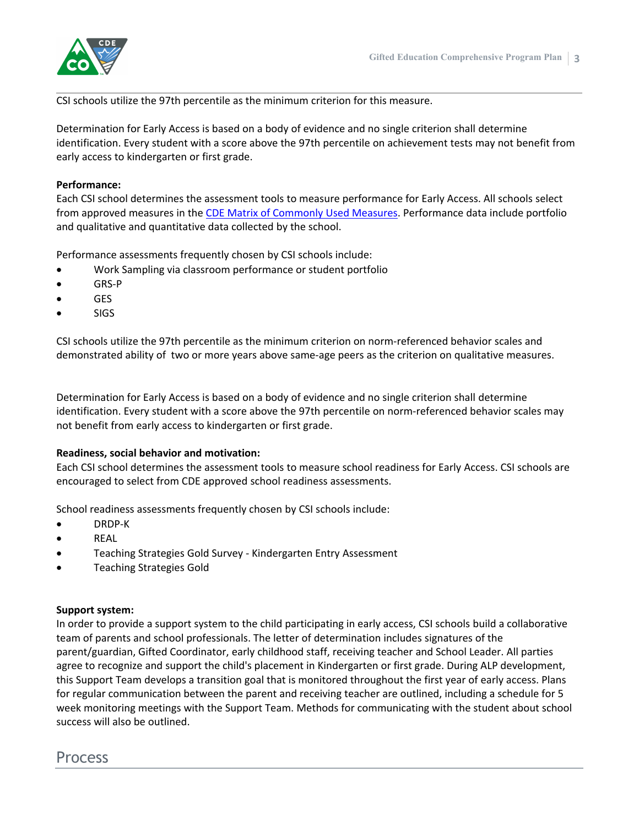

CSI schools utilize the 97th percentile as the minimum criterion for this measure.

Determination for Early Access is based on a body of evidence and no single criterion shall determine identification. Every student with a score above the 97th percentile on achievement tests may not benefit from early access to kindergarten or first grade.

#### **Performance:**

Each CSI school determines the assessment tools to measure performance for Early Access. All schools select from approved measures in the [CDE]() [Matrix]() [of]() [Commonly]() [Used]() [Measures](). Performance data include portfolio and qualitative and quantitative data collected by the school.

Performance assessments frequently chosen by CSI schools include:

- Work Sampling via classroom performance or student portfolio
- GRS-P
- GES
- SIGS

CSI schools utilize the 97th percentile as the minimum criterion on norm-referenced behavior scales and demonstrated ability of two or more years above same-age peers as the criterion on qualitative measures.

Determination for Early Access is based on a body of evidence and no single criterion shall determine identification. Every student with a score above the 97th percentile on norm-referenced behavior scales may not benefit from early access to kindergarten or first grade.

#### **Readiness, social behavior and motivation:**

Each CSI school determines the assessment tools to measure school readiness for Early Access. CSI schools are encouraged to select from CDE approved school readiness assessments.

School readiness assessments frequently chosen by CSI schools include:

- DRDP-K
- REAL
- Teaching Strategies Gold Survey Kindergarten Entry Assessment
- Teaching Strategies Gold

#### **Support system:**

In order to provide a support system to the child participating in early access, CSI schools build a collaborative team of parents and school professionals. The letter of determination includes signatures of the parent/guardian, Gifted Coordinator, early childhood staff, receiving teacher and School Leader. All parties agree to recognize and support the child's placement in Kindergarten or first grade. During ALP development, this Support Team develops a transition goal that is monitored throughout the first year of early access. Plans for regular communication between the parent and receiving teacher are outlined, including a schedule for 5 week monitoring meetings with the Support Team. Methods for communicating with the student about school success will also be outlined.

## Process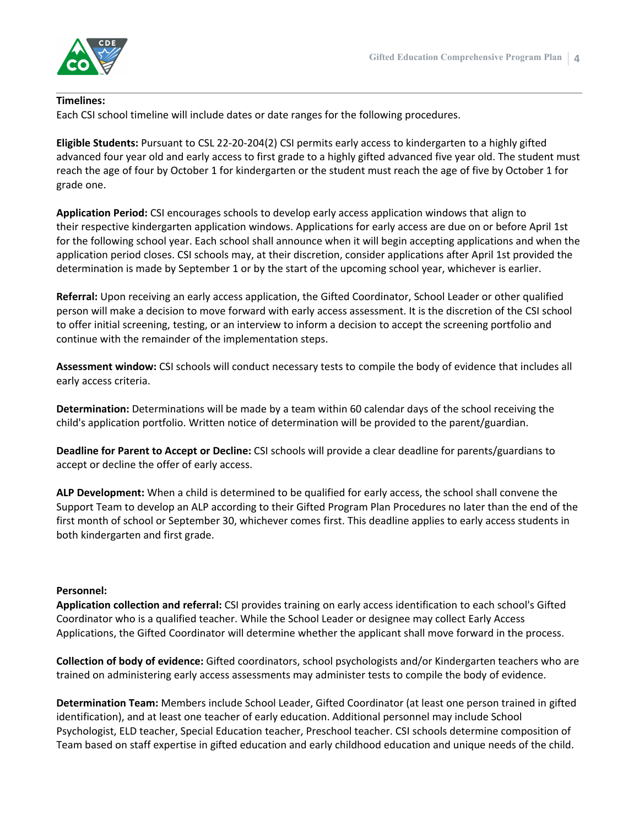

#### **Timelines:**

Each CSI school timeline will include dates or date ranges for the following procedures.

**Eligible Students:** Pursuant to CSL 22-20-204(2) CSI permits early access to kindergarten to a highly gifted advanced four year old and early access to first grade to a highly gifted advanced five year old. The student must reach the age of four by October 1 for kindergarten or the student must reach the age of five by October 1 for grade one.

**Application Period:** CSI encourages schools to develop early access application windows that align to their respective kindergarten application windows. Applications for early access are due on or before April 1st for the following school year. Each school shall announce when it will begin accepting applications and when the application period closes. CSI schools may, at their discretion, consider applications after April 1st provided the determination is made by September 1 or by the start of the upcoming school year, whichever is earlier.

**Referral:** Upon receiving an early access application, the Gifted Coordinator, School Leader or other qualified person will make a decision to move forward with early access assessment. It is the discretion of the CSI school to offer initial screening, testing, or an interview to inform a decision to accept the screening portfolio and continue with the remainder of the implementation steps.

**Assessment window:** CSI schools will conduct necessary tests to compile the body of evidence that includes all early access criteria.

**Determination:** Determinations will be made by a team within 60 calendar days of the school receiving the child's application portfolio. Written notice of determination will be provided to the parent/guardian.

**Deadline for Parent to Accept or Decline:** CSI schools will provide a clear deadline for parents/guardians to accept or decline the offer of early access.

**ALP Development:** When a child is determined to be qualified for early access, the school shall convene the Support Team to develop an ALP according to their Gifted Program Plan Procedures no later than the end of the first month of school or September 30, whichever comes first. This deadline applies to early access students in both kindergarten and first grade.

#### **Personnel:**

**Application collection and referral:** CSI provides training on early access identification to each school's Gifted Coordinator who is a qualified teacher. While the School Leader or designee may collect Early Access Applications, the Gifted Coordinator will determine whether the applicant shall move forward in the process.

**Collection of body of evidence:** Gifted coordinators, school psychologists and/or Kindergarten teachers who are trained on administering early access assessments may administer tests to compile the body of evidence.

**Determination Team:** Members include School Leader, Gifted Coordinator (at least one person trained in gifted identification), and at least one teacher of early education. Additional personnel may include School Psychologist, ELD teacher, Special Education teacher, Preschool teacher. CSI schools determine composition of Team based on staff expertise in gifted education and early childhood education and unique needs of the child.